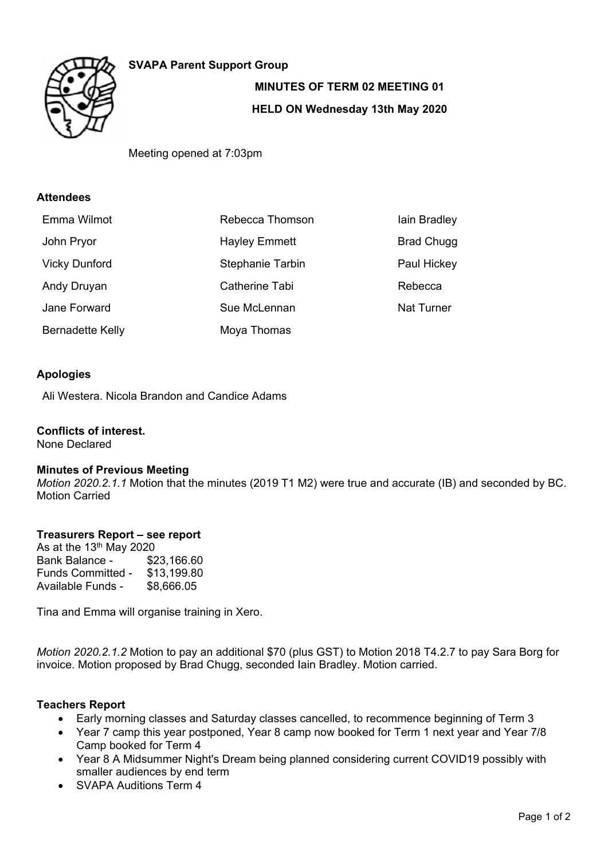

## **SVAPA Parent Support Group**

# **MINUTES OF TERM 02 MEETING 01 HELD ON Wednesday 13th May 2020**

Meeting opened at 7:03pm

## **Attendees**

| Emma Wilmot             | Rebecca Thomson         | lain Bradley      |
|-------------------------|-------------------------|-------------------|
| John Pryor              | <b>Hayley Emmett</b>    | <b>Brad Chugg</b> |
| <b>Vicky Dunford</b>    | <b>Stephanie Tarbin</b> | Paul Hickey       |
| Andy Druyan             | Catherine Tabi          | Rebecca           |
| Jane Forward            | Sue McLennan            | <b>Nat Turner</b> |
| <b>Bernadette Kelly</b> | Moya Thomas             |                   |

## **Apologies**

Ali Westera. Nicola Brandon and Candice Adams

#### **Conflicts of interest.**  None Declared

## **Minutes of Previous Meeting**

*Motion 2020.2.1.1* Motion that the minutes (2019 T1 M2) were true and accurate (IB) and seconded by BC. Motion Carried

## **Treasurers Report – see report**

As at the  $13<sup>th</sup>$  May 2020 Bank Balance - \$23,166.60 Funds Committed - \$13,199.80<br>Available Funds - \$8,666.05 Available Funds -

Tina and Emma will organise training in Xero.

*Motion 2020.2.1.2* Motion to pay an additional \$70 (plus GST) to Motion 2018 T4.2.7 to pay Sara Borg for invoice. Motion proposed by Brad Chugg, seconded Iain Bradley. Motion carried.

## **Teachers Report**

- Early morning classes and Saturday classes cancelled, to recommence beginning of Term 3
- Year 7 camp this year postponed, Year 8 camp now booked for Term 1 next year and Year 7/8 Camp booked for Term 4
- Year 8 A Midsummer Night's Dream being planned considering current COVID19 possibly with smaller audiences by end term
- SVAPA Auditions Term 4